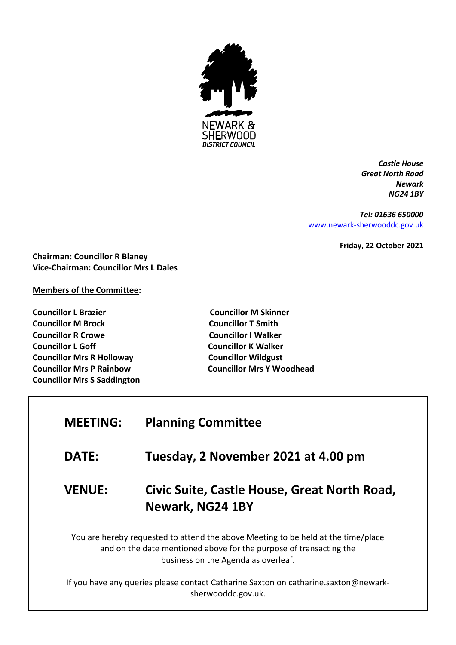

*Castle House Great North Road Newark NG24 1BY*

*Tel: 01636 650000* [www.newark-sherwooddc.gov.uk](http://www.newark-sherwooddc.gov.uk/)

**Friday, 22 October 2021**

**Chairman: Councillor R Blaney Vice-Chairman: Councillor Mrs L Dales**

## **Members of the Committee:**

**Councillor L Brazier Councillor M Skinner Councillor M Brock Councillor T Smith Councillor R Crowe Councillor I Walker Councillor L Goff Councillor K Walker Councillor Mrs R Holloway Councillor Wildgust Councillor Mrs P Rainbow Councillor Mrs Y Woodhead Councillor Mrs S Saddington**

| <b>MEETING:</b> | <b>Planning Committee</b>                                                                                                                                                                      |
|-----------------|------------------------------------------------------------------------------------------------------------------------------------------------------------------------------------------------|
| <b>DATE:</b>    | Tuesday, 2 November 2021 at 4.00 pm                                                                                                                                                            |
| <b>VENUE:</b>   | Civic Suite, Castle House, Great North Road,<br>Newark, NG24 1BY                                                                                                                               |
|                 | You are hereby requested to attend the above Meeting to be held at the time/place<br>and on the date mentioned above for the purpose of transacting the<br>business on the Agenda as overleaf. |
|                 | If you have any queries please contact Catharine Saxton on catharine.saxton@newark-<br>sherwooddc.gov.uk.                                                                                      |